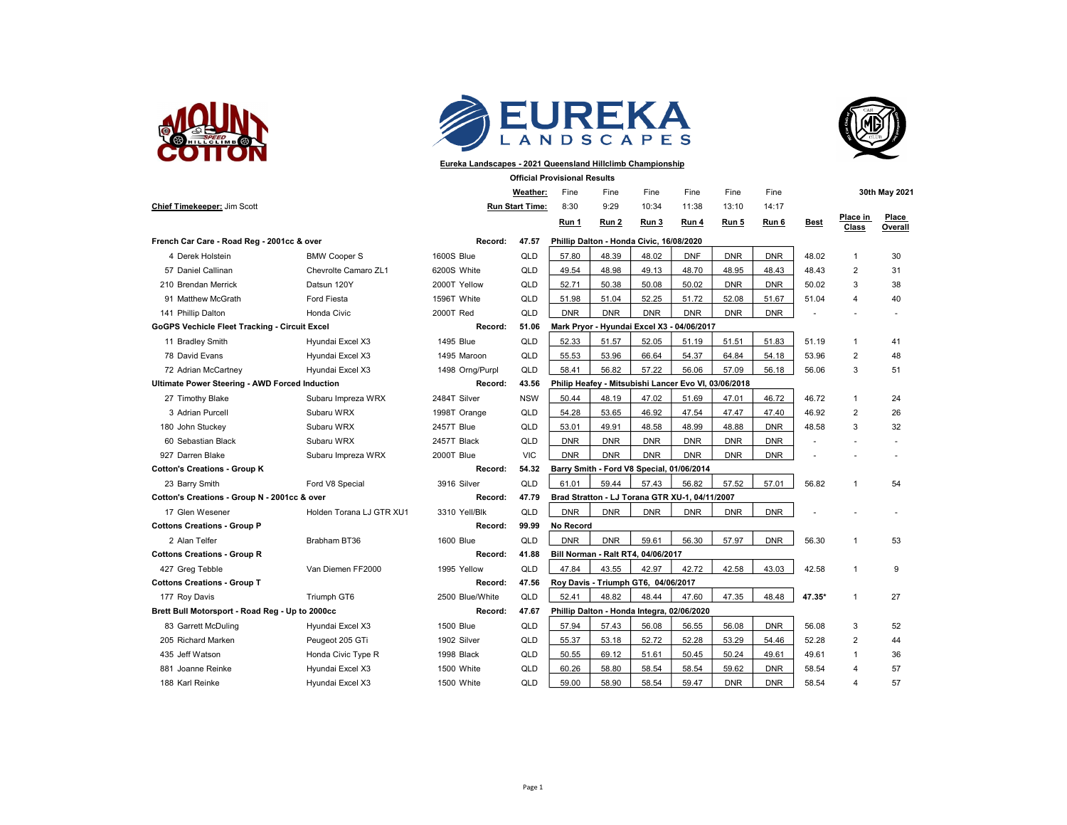





## Eureka Landscapes - 2021 Queensland Hillclimb Championship

Official Provisional Results

|                                                                  |                          |                  | Weather:               | Fine                                           | Fine                                                 | Fine       | Fine       | Fine       | Fine       |             |                   | 30th May 2021    |
|------------------------------------------------------------------|--------------------------|------------------|------------------------|------------------------------------------------|------------------------------------------------------|------------|------------|------------|------------|-------------|-------------------|------------------|
| Chief Timekeeper: Jim Scott                                      |                          |                  | <b>Run Start Time:</b> | 8:30                                           | 9:29                                                 | 10:34      | 11:38      | 13:10      | 14:17      |             |                   |                  |
|                                                                  |                          |                  |                        | Run 1                                          | Run 2                                                | Run 3      | Run 4      | Run 5      | Run 6      | <b>Best</b> | Place in<br>Class | Place<br>Overall |
| French Car Care - Road Reg - 2001cc & over                       |                          | Record:          | 47.57                  |                                                | Phillip Dalton - Honda Civic, 16/08/2020             |            |            |            |            |             |                   |                  |
| 4 Derek Holstein                                                 | <b>BMW Cooper S</b>      | 1600S Blue       | QLD                    | 57.80                                          | 48.39                                                | 48.02      | <b>DNF</b> | <b>DNR</b> | <b>DNR</b> | 48.02       | 1                 | 30               |
| 57 Daniel Callinan                                               | Chevrolte Camaro ZL1     | 6200S White      | QLD                    | 49.54                                          | 48.98                                                | 49.13      | 48.70      | 48.95      | 48.43      | 48.43       | $\overline{2}$    | 31               |
| 210 Brendan Merrick                                              | Datsun 120Y              | 2000T Yellow     | QLD                    | 52.71                                          | 50.38                                                | 50.08      | 50.02      | <b>DNR</b> | <b>DNR</b> | 50.02       | 3                 | 38               |
| 91 Matthew McGrath                                               | Ford Fiesta              | 1596T White      | <b>QLD</b>             | 51.98                                          | 51.04                                                | 52.25      | 51.72      | 52.08      | 51.67      | 51.04       | 4                 | 40               |
| 141 Phillip Dalton                                               | Honda Civic              | 2000T Red        | QLD                    | <b>DNR</b>                                     | <b>DNR</b>                                           | <b>DNR</b> | <b>DNR</b> | <b>DNR</b> | <b>DNR</b> |             |                   |                  |
| GoGPS Vechicle Fleet Tracking - Circuit Excel                    |                          | Record:          | 51.06                  |                                                | Mark Pryor - Hyundai Excel X3 - 04/06/2017           |            |            |            |            |             |                   |                  |
| 11 Bradley Smith                                                 | Hyundai Excel X3         | 1495 Blue        | <b>QLD</b>             | 52.33                                          | 51.57                                                | 52.05      | 51.19      | 51.51      | 51.83      | 51.19       | $\mathbf{1}$      | 41               |
| 78 David Evans                                                   | Hyundai Excel X3         | 1495 Maroon      | QLD                    | 55.53                                          | 53.96                                                | 66.64      | 54.37      | 64.84      | 54.18      | 53.96       | $\overline{2}$    | 48               |
| 72 Adrian McCartney                                              | Hyundai Excel X3         | 1498 Orng/Purpl  | QLD                    | 58.41                                          | 56.82                                                | 57.22      | 56.06      | 57.09      | 56.18      | 56.06       | 3                 | 51               |
| <b>Ultimate Power Steering - AWD Forced Induction</b><br>Record: |                          |                  | 43.56                  |                                                | Philip Heafey - Mitsubishi Lancer Evo VI, 03/06/2018 |            |            |            |            |             |                   |                  |
| 27 Timothy Blake                                                 | Subaru Impreza WRX       | 2484T Silver     | <b>NSW</b>             | 50.44                                          | 48.19                                                | 47.02      | 51.69      | 47.01      | 46.72      | 46.72       | $\mathbf{1}$      | 24               |
| 3 Adrian Purcell                                                 | Subaru WRX               | 1998T Orange     | QLD                    | 54.28                                          | 53.65                                                | 46.92      | 47.54      | 47.47      | 47.40      | 46.92       | $\overline{2}$    | 26               |
| 180 John Stuckey                                                 | Subaru WRX               | 2457T Blue       | QLD                    | 53.01                                          | 49.91                                                | 48.58      | 48.99      | 48.88      | <b>DNR</b> | 48.58       | 3                 | 32               |
| 60 Sebastian Black                                               | Subaru WRX               | 2457T Black      | <b>QLD</b>             | <b>DNR</b>                                     | <b>DNR</b>                                           | <b>DNR</b> | <b>DNR</b> | <b>DNR</b> | <b>DNR</b> |             |                   |                  |
| 927 Darren Blake                                                 | Subaru Impreza WRX       | 2000T Blue       | <b>VIC</b>             | <b>DNR</b>                                     | <b>DNR</b>                                           | <b>DNR</b> | <b>DNR</b> | <b>DNR</b> | <b>DNR</b> |             |                   |                  |
| <b>Cotton's Creations - Group K</b>                              |                          | Record:          | 54.32                  | Barry Smith - Ford V8 Special, 01/06/2014      |                                                      |            |            |            |            |             |                   |                  |
| 23 Barry Smith                                                   | Ford V8 Special          | 3916 Silver      | QLD                    | 61.01                                          | 59.44                                                | 57.43      | 56.82      | 57.52      | 57.01      | 56.82       | $\mathbf{1}$      | 54               |
| Cotton's Creations - Group N - 2001cc & over                     |                          | Record:          | 47.79                  | Brad Stratton - LJ Torana GTR XU-1, 04/11/2007 |                                                      |            |            |            |            |             |                   |                  |
| 17 Glen Wesener                                                  | Holden Torana LJ GTR XU1 | 3310 Yell/Blk    | QLD                    | <b>DNR</b>                                     | <b>DNR</b>                                           | <b>DNR</b> | <b>DNR</b> | <b>DNR</b> | <b>DNR</b> |             |                   |                  |
| <b>Cottons Creations - Group P</b>                               |                          | Record:          | 99.99                  | No Record                                      |                                                      |            |            |            |            |             |                   |                  |
| 2 Alan Telfer                                                    | Brabham BT36             | 1600 Blue        | <b>QLD</b>             | <b>DNR</b>                                     | <b>DNR</b>                                           | 59.61      | 56.30      | 57.97      | <b>DNR</b> | 56.30       | $\mathbf{1}$      | 53               |
| <b>Cottons Creations - Group R</b>                               |                          | Record:          | 41.88                  | Bill Norman - Ralt RT4, 04/06/2017             |                                                      |            |            |            |            |             |                   |                  |
| 427 Greg Tebble                                                  | Van Diemen FF2000        | 1995 Yellow      | QLD                    | 47.84                                          | 43.55                                                | 42.97      | 42.72      | 42.58      | 43.03      | 42.58       |                   | 9                |
| <b>Cottons Creations - Group T</b><br>Record:                    |                          |                  | 47.56                  |                                                | Roy Davis - Triumph GT6, 04/06/2017                  |            |            |            |            |             |                   |                  |
| 177 Roy Davis                                                    | Triumph GT6              | 2500 Blue/White  | QLD                    | 52.41                                          | 48.82                                                | 48.44      | 47.60      | 47.35      | 48.48      | 47.35*      |                   | 27               |
| Brett Bull Motorsport - Road Reg - Up to 2000cc                  |                          | Record:          | 47.67                  |                                                | Phillip Dalton - Honda Integra, 02/06/2020           |            |            |            |            |             |                   |                  |
| 83 Garrett McDuling                                              | Hyundai Excel X3         | <b>1500 Blue</b> | QLD                    | 57.94                                          | 57.43                                                | 56.08      | 56.55      | 56.08      | <b>DNR</b> | 56.08       | 3                 | 52               |
| 205 Richard Marken                                               | Peugeot 205 GTi          | 1902 Silver      | QLD                    | 55.37                                          | 53.18                                                | 52.72      | 52.28      | 53.29      | 54.46      | 52.28       | $\overline{2}$    | 44               |
| 435 Jeff Watson                                                  | Honda Civic Type R       | 1998 Black       | QLD                    | 50.55                                          | 69.12                                                | 51.61      | 50.45      | 50.24      | 49.61      | 49.61       | 1                 | 36               |
| 881 Joanne Reinke                                                | Hyundai Excel X3         | 1500 White       | QLD                    | 60.26                                          | 58.80                                                | 58.54      | 58.54      | 59.62      | <b>DNR</b> | 58.54       | Δ                 | 57               |
| 188 Karl Reinke                                                  | Hyundai Excel X3         | 1500 White       | QLD                    | 59.00                                          | 58.90                                                | 58.54      | 59.47      | <b>DNR</b> | <b>DNR</b> | 58.54       | 4                 | 57               |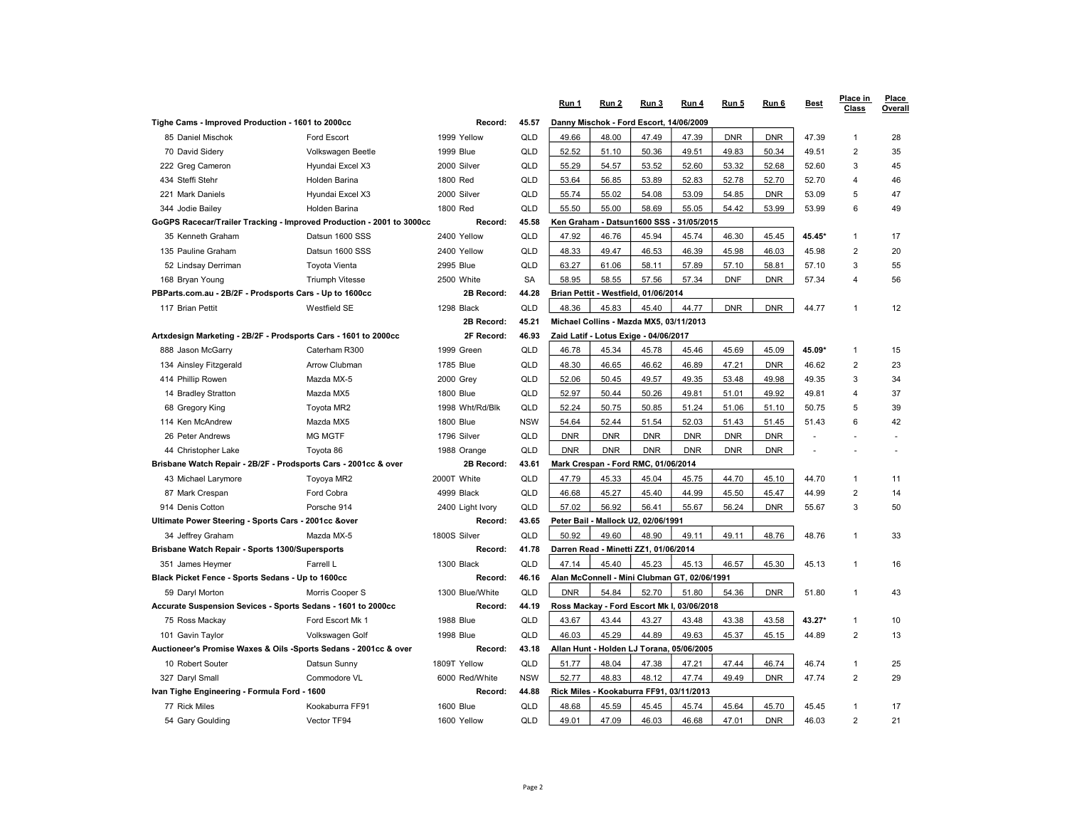|                                                                               |                        |                  |                                         | Run 1                                    | Run 2                                 | Run 3                                        | Run 4      | Run 5      | Run 6      | <b>Best</b> | Place in<br><b>Class</b> | Place<br>Overall |
|-------------------------------------------------------------------------------|------------------------|------------------|-----------------------------------------|------------------------------------------|---------------------------------------|----------------------------------------------|------------|------------|------------|-------------|--------------------------|------------------|
| Tighe Cams - Improved Production - 1601 to 2000cc                             | Record:                | 45.57            | Danny Mischok - Ford Escort, 14/06/2009 |                                          |                                       |                                              |            |            |            |             |                          |                  |
| 85 Daniel Mischok                                                             | <b>Ford Escort</b>     | 1999 Yellow      | QLD                                     | 49.66                                    | 48.00                                 | 47.49                                        | 47.39      | <b>DNR</b> | <b>DNR</b> | 47.39       | $\mathbf{1}$             | 28               |
| 70 David Sidery                                                               | Volkswagen Beetle      | <b>1999 Blue</b> | QLD                                     | 52.52                                    | 51.10                                 | 50.36                                        | 49.51      | 49.83      | 50.34      | 49.51       | $\overline{2}$           | 35               |
| 222 Greg Cameron                                                              | Hyundai Excel X3       | 2000 Silver      | QLD                                     | 55.29                                    | 54.57                                 | 53.52                                        | 52.60      | 53.32      | 52.68      | 52.60       | 3                        | 45               |
| 434 Steffi Stehr                                                              | Holden Barina          | 1800 Red         | QLD                                     | 53.64                                    | 56.85                                 | 53.89                                        | 52.83      | 52.78      | 52.70      | 52.70       | 4                        | 46               |
| 221 Mark Daniels                                                              | Hyundai Excel X3       | 2000 Silver      | QLD                                     | 55.74                                    | 55.02                                 | 54.08                                        | 53.09      | 54.85      | <b>DNR</b> | 53.09       | 5                        | 47               |
| 344 Jodie Bailey                                                              | Holden Barina          | 1800 Red         | QLD                                     | 55.50                                    | 55.00                                 | 58.69                                        | 55.05      | 54.42      | 53.99      | 53.99       | 6                        | 49               |
| GoGPS Racecar/Trailer Tracking - Improved Production - 2001 to 3000cc         |                        | Record:          | 45.58                                   |                                          |                                       | Ken Graham - Datsun1600 SSS - 31/05/2015     |            |            |            |             |                          |                  |
| 35 Kenneth Graham                                                             | Datsun 1600 SSS        | 2400 Yellow      | <b>QLD</b>                              | 47.92                                    | 46.76                                 | 45.94                                        | 45.74      | 46.30      | 45.45      | 45.45*      | $\mathbf{1}$             | 17               |
| 135 Pauline Graham                                                            | Datsun 1600 SSS        | 2400 Yellow      | QLD                                     | 48.33                                    | 49.47                                 | 46.53                                        | 46.39      | 45.98      | 46.03      | 45.98       | $\overline{2}$           | 20               |
| 52 Lindsay Derriman                                                           | Toyota Vienta          | 2995 Blue        | QLD                                     | 63.27                                    | 61.06                                 | 58.11                                        | 57.89      | 57.10      | 58.81      | 57.10       | 3                        | 55               |
| 168 Bryan Young                                                               | <b>Triumph Vitesse</b> | 2500 White       | <b>SA</b>                               | 58.95                                    | 58.55                                 | 57.56                                        | 57.34      | <b>DNF</b> | <b>DNR</b> | 57.34       | 4                        | 56               |
| PBParts.com.au - 2B/2F - Prodsports Cars - Up to 1600cc                       |                        | 2B Record:       | 44.28                                   |                                          |                                       | Brian Pettit - Westfield, 01/06/2014         |            |            |            |             |                          |                  |
| 117 Brian Pettit                                                              | <b>Westfield SE</b>    | 1298 Black       | <b>QLD</b>                              | 48.36                                    | 45.83                                 | 45.40                                        | 44.77      | <b>DNR</b> | <b>DNR</b> | 44.77       | 1                        | 12               |
|                                                                               |                        | 2B Record:       | 45.21                                   |                                          |                                       | Michael Collins - Mazda MX5, 03/11/2013      |            |            |            |             |                          |                  |
| Artxdesign Marketing - 2B/2F - Prodsports Cars - 1601 to 2000cc               |                        | 2F Record:       | 46.93                                   | Zaid Latif - Lotus Exige - 04/06/2017    |                                       |                                              |            |            |            |             |                          |                  |
| 888 Jason McGarry                                                             | Caterham R300          | 1999 Green       | QLD                                     | 46.78                                    | 45.34                                 | 45.78                                        | 45.46      | 45.69      | 45.09      | 45.09*      | $\mathbf{1}$             | 15               |
| 134 Ainsley Fitzgerald                                                        | <b>Arrow Clubman</b>   | 1785 Blue        | QLD                                     | 48.30                                    | 46.65                                 | 46.62                                        | 46.89      | 47.21      | <b>DNR</b> | 46.62       | $\overline{2}$           | 23               |
| 414 Phillip Rowen                                                             | Mazda MX-5             | 2000 Grey        | QLD                                     | 52.06                                    | 50.45                                 | 49.57                                        | 49.35      | 53.48      | 49.98      | 49.35       | 3                        | 34               |
| 14 Bradley Stratton                                                           | Mazda MX5              | <b>1800 Blue</b> | QLD                                     | 52.97                                    | 50.44                                 | 50.26                                        | 49.81      | 51.01      | 49.92      | 49.81       | 4                        | 37               |
| 68 Gregory King                                                               | Toyota MR2             | 1998 Wht/Rd/Blk  | QLD                                     | 52.24                                    | 50.75                                 | 50.85                                        | 51.24      | 51.06      | 51.10      | 50.75       | 5                        | 39               |
| 114 Ken McAndrew                                                              | Mazda MX5              | <b>1800 Blue</b> | <b>NSW</b>                              | 54.64                                    | 52.44                                 | 51.54                                        | 52.03      | 51.43      | 51.45      | 51.43       | 6                        | 42               |
| 26 Peter Andrews                                                              | <b>MG MGTF</b>         | 1796 Silver      | QLD                                     | <b>DNR</b>                               | <b>DNR</b>                            | <b>DNR</b>                                   | <b>DNR</b> | <b>DNR</b> | <b>DNR</b> | ÷,          |                          |                  |
| 44 Christopher Lake                                                           | Toyota 86              | 1988 Orange      | QLD                                     | <b>DNR</b>                               | <b>DNR</b>                            | <b>DNR</b>                                   | <b>DNR</b> | <b>DNR</b> | <b>DNR</b> |             |                          |                  |
| Brisbane Watch Repair - 2B/2F - Prodsports Cars - 2001cc & over<br>2B Record: |                        | 43.61            | Mark Crespan - Ford RMC, 01/06/2014     |                                          |                                       |                                              |            |            |            |             |                          |                  |
| 43 Michael Larymore                                                           | Toyoya MR2             | 2000T White      | QLD                                     | 47.79                                    | 45.33                                 | 45.04                                        | 45.75      | 44.70      | 45.10      | 44.70       | $\mathbf{1}$             | 11               |
| 87 Mark Crespan                                                               | Ford Cobra             | 4999 Black       | QLD                                     | 46.68                                    | 45.27                                 | 45.40                                        | 44.99      | 45.50      | 45.47      | 44.99       | $\overline{c}$           | 14               |
| 914 Denis Cotton                                                              | Porsche 914            | 2400 Light Ivory | QLD                                     | 57.02                                    | 56.92                                 | 56.41                                        | 55.67      | 56.24      | <b>DNR</b> | 55.67       | 3                        | 50               |
| Ultimate Power Steering - Sports Cars - 2001cc &over<br>Record:               |                        | 43.65            |                                         |                                          | Peter Bail - Mallock U2, 02/06/1991   |                                              |            |            |            |             |                          |                  |
| 34 Jeffrey Graham                                                             | Mazda MX-5             | 1800S Silver     | QLD                                     | 50.92                                    | 49.60                                 | 48.90                                        | 49.11      | 49.11      | 48.76      | 48.76       | $\mathbf{1}$             | 33               |
| Brisbane Watch Repair - Sports 1300/Supersports<br>Record:                    |                        | 41.78            |                                         |                                          | Darren Read - Minetti ZZ1, 01/06/2014 |                                              |            |            |            |             |                          |                  |
| 351 James Heymer                                                              | Farrell L              | 1300 Black       | QLD                                     | 47.14                                    | 45.40                                 | 45.23                                        | 45.13      | 46.57      | 45.30      | 45.13       | $\mathbf{1}$             | 16               |
| Black Picket Fence - Sports Sedans - Up to 1600cc                             |                        | Record:          | 46.16                                   |                                          |                                       | Alan McConnell - Mini Clubman GT, 02/06/1991 |            |            |            |             |                          |                  |
| 59 Daryl Morton                                                               | Morris Cooper S        | 1300 Blue/White  | QLD                                     | <b>DNR</b>                               | 54.84                                 | 52.70                                        | 51.80      | 54.36      | <b>DNR</b> | 51.80       | $\mathbf{1}$             | 43               |
| Accurate Suspension Sevices - Sports Sedans - 1601 to 2000cc                  |                        | Record:          | 44.19                                   |                                          |                                       | Ross Mackay - Ford Escort Mk I, 03/06/2018   |            |            |            |             |                          |                  |
| 75 Ross Mackay                                                                | Ford Escort Mk 1       | 1988 Blue        | QLD                                     | 43.67                                    | 43.44                                 | 43.27                                        | 43.48      | 43.38      | 43.58      | 43.27*      | $\overline{1}$           | 10               |
| 101 Gavin Taylor                                                              | Volkswagen Golf        | <b>1998 Blue</b> | QLD                                     | 46.03                                    | 45.29                                 | 44.89                                        | 49.63      | 45.37      | 45.15      | 44.89       | $\overline{2}$           | 13               |
| Auctioneer's Promise Waxes & Oils -Sports Sedans - 2001cc & over              |                        | Record:          | 43.18                                   |                                          |                                       | Allan Hunt - Holden LJ Torana, 05/06/2005    |            |            |            |             |                          |                  |
| 10 Robert Souter                                                              | Datsun Sunny           | 1809T Yellow     | QLD                                     | 51.77                                    | 48.04                                 | 47.38                                        | 47.21      | 47.44      | 46.74      | 46.74       | $\mathbf{1}$             | 25               |
| 327 Daryl Small                                                               | Commodore VL           | 6000 Red/White   | <b>NSW</b>                              | 52.77                                    | 48.83                                 | 48.12                                        | 47.74      | 49.49      | <b>DNR</b> | 47.74       | $\overline{2}$           | 29               |
| Ivan Tighe Engineering - Formula Ford - 1600                                  |                        | Record:          | 44.88                                   | Rick Miles - Kookaburra FF91, 03/11/2013 |                                       |                                              |            |            |            |             |                          |                  |
| 77 Rick Miles                                                                 | Kookaburra FF91        | <b>1600 Blue</b> | QLD                                     | 48.68                                    | 45.59                                 | 45.45                                        | 45.74      | 45.64      | 45.70      | 45.45       | $\mathbf{1}$             | 17               |
| 54 Gary Goulding                                                              | Vector TF94            | 1600 Yellow      | QLD                                     | 49.01                                    | 47.09                                 | 46.03                                        | 46.68      | 47.01      | <b>DNR</b> | 46.03       | $\overline{2}$           | 21               |